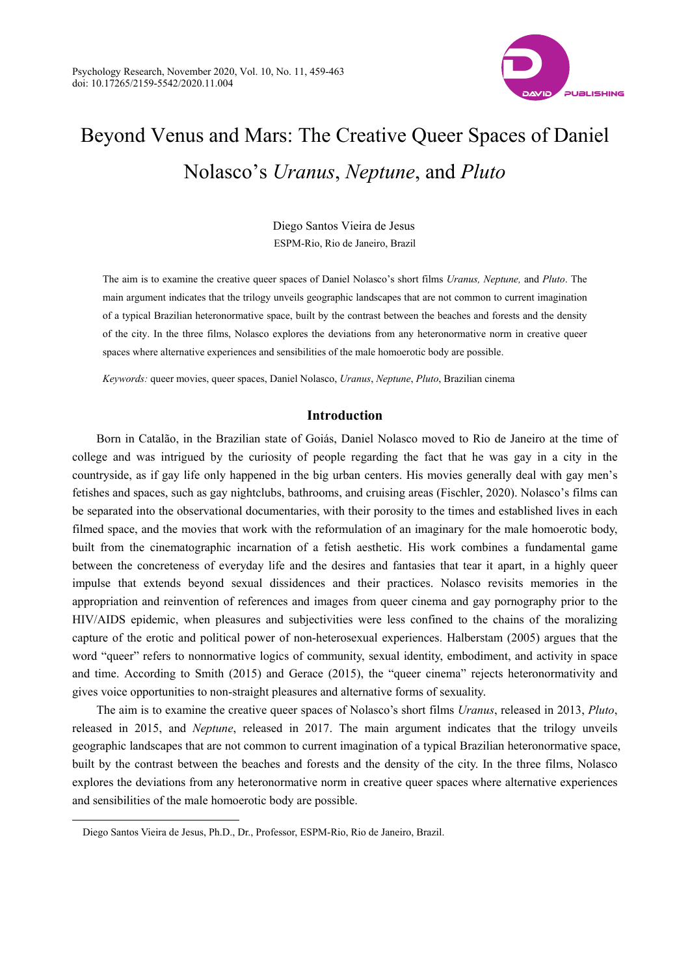

# Beyond Venus and Mars: The Creative Queer Spaces of Daniel Nolasco's *Uranus*, *Neptune*, and *Pluto*

Diego Santos Vieira de Jesus ESPM-Rio, Rio de Janeiro, Brazil

The aim is to examine the creative queer spaces of Daniel Nolasco's short films *Uranus, Neptune,* and *Pluto*. The main argument indicates that the trilogy unveils geographic landscapes that are not common to current imagination of a typical Brazilian heteronormative space, built by the contrast between the beaches and forests and the density of the city. In the three films, Nolasco explores the deviations from any heteronormative norm in creative queer spaces where alternative experiences and sensibilities of the male homoerotic body are possible.

*Keywords:* queer movies, queer spaces, Daniel Nolasco, *Uranus*, *Neptune*, *Pluto*, Brazilian cinema

#### **Introduction**

Born in Catalão, in the Brazilian state of Goiás, Daniel Nolasco moved to Rio de Janeiro at the time of college and was intrigued by the curiosity of people regarding the fact that he was gay in a city in the countryside, as if gay life only happened in the big urban centers. His movies generally deal with gay men's fetishes and spaces, such as gay nightclubs, bathrooms, and cruising areas (Fischler, 2020). Nolasco's films can be separated into the observational documentaries, with their porosity to the times and established lives in each filmed space, and the movies that work with the reformulation of an imaginary for the male homoerotic body, built from the cinematographic incarnation of a fetish aesthetic. His work combines a fundamental game between the concreteness of everyday life and the desires and fantasies that tear it apart, in a highly queer impulse that extends beyond sexual dissidences and their practices. Nolasco revisits memories in the appropriation and reinvention of references and images from queer cinema and gay pornography prior to the HIV/AIDS epidemic, when pleasures and subjectivities were less confined to the chains of the moralizing capture of the erotic and political power of non-heterosexual experiences. Halberstam (2005) argues that the word "queer" refers to nonnormative logics of community, sexual identity, embodiment, and activity in space and time. According to Smith (2015) and Gerace (2015), the "queer cinema" rejects heteronormativity and gives voice opportunities to non-straight pleasures and alternative forms of sexuality.

The aim is to examine the creative queer spaces of Nolasco's short films *Uranus*, released in 2013, *Pluto*, released in 2015, and *Neptune*, released in 2017. The main argument indicates that the trilogy unveils geographic landscapes that are not common to current imagination of a typical Brazilian heteronormative space, built by the contrast between the beaches and forests and the density of the city. In the three films, Nolasco explores the deviations from any heteronormative norm in creative queer spaces where alternative experiences and sensibilities of the male homoerotic body are possible.

 $\overline{a}$ 

Diego Santos Vieira de Jesus, Ph.D., Dr., Professor, ESPM-Rio, Rio de Janeiro, Brazil.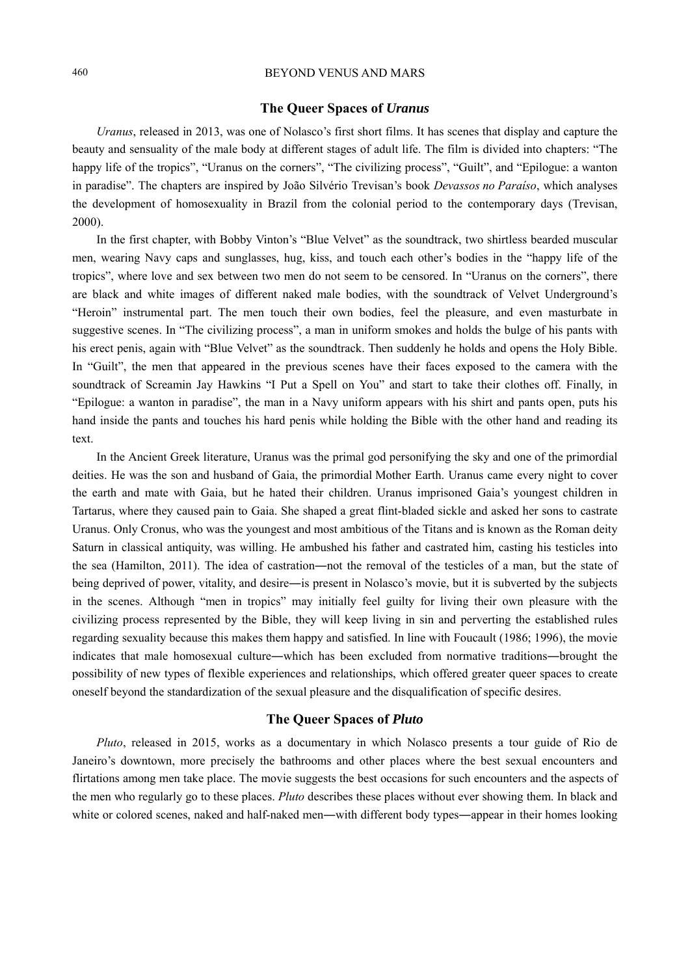# 460 BEYOND VENUS AND MARS

## **The Queer Spaces of** *Uranus*

*Uranus*, released in 2013, was one of Nolasco's first short films. It has scenes that display and capture the beauty and sensuality of the male body at different stages of adult life. The film is divided into chapters: "The happy life of the tropics", "Uranus on the corners", "The civilizing process", "Guilt", and "Epilogue: a wanton in paradise". The chapters are inspired by João Silvério Trevisan's book *Devassos no Paraíso*, which analyses the development of homosexuality in Brazil from the colonial period to the contemporary days (Trevisan, 2000).

In the first chapter, with Bobby Vinton's "Blue Velvet" as the soundtrack, two shirtless bearded muscular men, wearing Navy caps and sunglasses, hug, kiss, and touch each other's bodies in the "happy life of the tropics", where love and sex between two men do not seem to be censored. In "Uranus on the corners", there are black and white images of different naked male bodies, with the soundtrack of Velvet Underground's "Heroin" instrumental part. The men touch their own bodies, feel the pleasure, and even masturbate in suggestive scenes. In "The civilizing process", a man in uniform smokes and holds the bulge of his pants with his erect penis, again with "Blue Velvet" as the soundtrack. Then suddenly he holds and opens the Holy Bible. In "Guilt", the men that appeared in the previous scenes have their faces exposed to the camera with the soundtrack of Screamin Jay Hawkins "I Put a Spell on You" and start to take their clothes off. Finally, in "Epilogue: a wanton in paradise", the man in a Navy uniform appears with his shirt and pants open, puts his hand inside the pants and touches his hard penis while holding the Bible with the other hand and reading its text.

In the Ancient Greek literature, Uranus was the primal god personifying the sky and one of the primordial deities. He was the son and husband of Gaia, the primordial Mother Earth. Uranus came every night to cover the earth and mate with Gaia, but he hated their children. Uranus imprisoned Gaia's youngest children in Tartarus, where they caused pain to Gaia. She shaped a great flint-bladed sickle and asked her sons to castrate Uranus. Only Cronus, who was the youngest and most ambitious of the Titans and is known as the Roman deity Saturn in classical antiquity, was willing. He ambushed his father and castrated him, casting his testicles into the sea (Hamilton, 2011). The idea of castration―not the removal of the testicles of a man, but the state of being deprived of power, vitality, and desire―is present in Nolasco's movie, but it is subverted by the subjects in the scenes. Although "men in tropics" may initially feel guilty for living their own pleasure with the civilizing process represented by the Bible, they will keep living in sin and perverting the established rules regarding sexuality because this makes them happy and satisfied. In line with Foucault (1986; 1996), the movie indicates that male homosexual culture―which has been excluded from normative traditions―brought the possibility of new types of flexible experiences and relationships, which offered greater queer spaces to create oneself beyond the standardization of the sexual pleasure and the disqualification of specific desires.

### **The Queer Spaces of** *Pluto*

*Pluto*, released in 2015, works as a documentary in which Nolasco presents a tour guide of Rio de Janeiro's downtown, more precisely the bathrooms and other places where the best sexual encounters and flirtations among men take place. The movie suggests the best occasions for such encounters and the aspects of the men who regularly go to these places. *Pluto* describes these places without ever showing them. In black and white or colored scenes, naked and half-naked men—with different body types—appear in their homes looking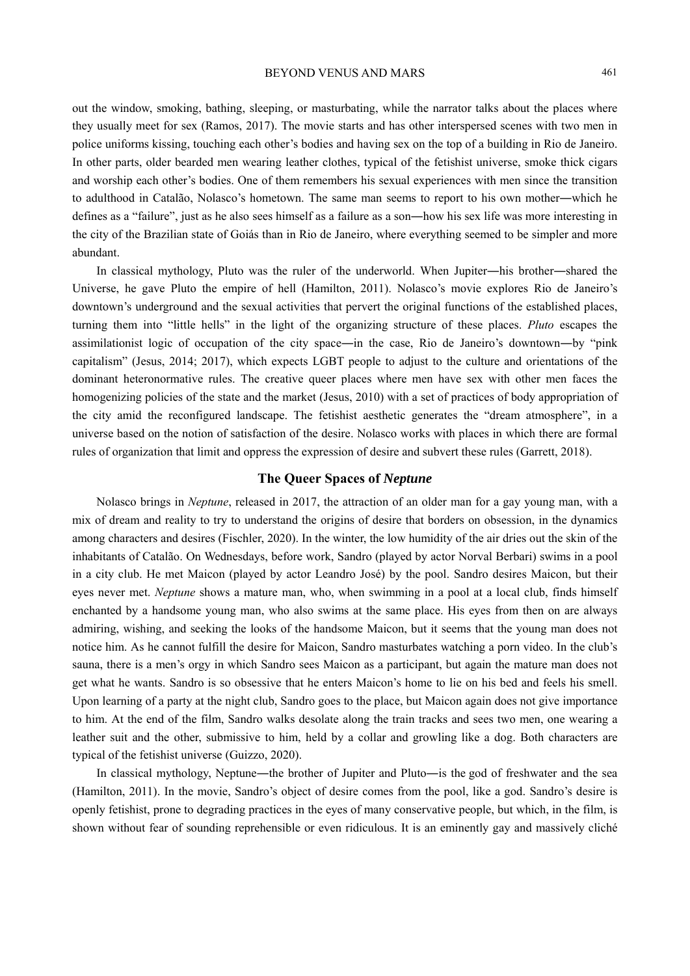out the window, smoking, bathing, sleeping, or masturbating, while the narrator talks about the places where they usually meet for sex (Ramos, 2017). The movie starts and has other interspersed scenes with two men in police uniforms kissing, touching each other's bodies and having sex on the top of a building in Rio de Janeiro. In other parts, older bearded men wearing leather clothes, typical of the fetishist universe, smoke thick cigars and worship each other's bodies. One of them remembers his sexual experiences with men since the transition to adulthood in Catalão, Nolasco's hometown. The same man seems to report to his own mother―which he defines as a "failure", just as he also sees himself as a failure as a son―how his sex life was more interesting in the city of the Brazilian state of Goiás than in Rio de Janeiro, where everything seemed to be simpler and more abundant.

In classical mythology, Pluto was the ruler of the underworld. When Jupiter―his brother―shared the Universe, he gave Pluto the empire of hell (Hamilton, 2011). Nolasco's movie explores Rio de Janeiro's downtown's underground and the sexual activities that pervert the original functions of the established places, turning them into "little hells" in the light of the organizing structure of these places. *Pluto* escapes the assimilationist logic of occupation of the city space―in the case, Rio de Janeiro's downtown―by "pink capitalism" (Jesus, 2014; 2017), which expects LGBT people to adjust to the culture and orientations of the dominant heteronormative rules. The creative queer places where men have sex with other men faces the homogenizing policies of the state and the market (Jesus, 2010) with a set of practices of body appropriation of the city amid the reconfigured landscape. The fetishist aesthetic generates the "dream atmosphere", in a universe based on the notion of satisfaction of the desire. Nolasco works with places in which there are formal rules of organization that limit and oppress the expression of desire and subvert these rules (Garrett, 2018).

## **The Queer Spaces of** *Neptune*

Nolasco brings in *Neptune*, released in 2017, the attraction of an older man for a gay young man, with a mix of dream and reality to try to understand the origins of desire that borders on obsession, in the dynamics among characters and desires (Fischler, 2020). In the winter, the low humidity of the air dries out the skin of the inhabitants of Catalão. On Wednesdays, before work, Sandro (played by actor Norval Berbari) swims in a pool in a city club. He met Maicon (played by actor Leandro José) by the pool. Sandro desires Maicon, but their eyes never met. *Neptune* shows a mature man, who, when swimming in a pool at a local club, finds himself enchanted by a handsome young man, who also swims at the same place. His eyes from then on are always admiring, wishing, and seeking the looks of the handsome Maicon, but it seems that the young man does not notice him. As he cannot fulfill the desire for Maicon, Sandro masturbates watching a porn video. In the club's sauna, there is a men's orgy in which Sandro sees Maicon as a participant, but again the mature man does not get what he wants. Sandro is so obsessive that he enters Maicon's home to lie on his bed and feels his smell. Upon learning of a party at the night club, Sandro goes to the place, but Maicon again does not give importance to him. At the end of the film, Sandro walks desolate along the train tracks and sees two men, one wearing a leather suit and the other, submissive to him, held by a collar and growling like a dog. Both characters are typical of the fetishist universe (Guizzo, 2020).

In classical mythology, Neptune―the brother of Jupiter and Pluto―is the god of freshwater and the sea (Hamilton, 2011). In the movie, Sandro's object of desire comes from the pool, like a god. Sandro's desire is openly fetishist, prone to degrading practices in the eyes of many conservative people, but which, in the film, is shown without fear of sounding reprehensible or even ridiculous. It is an eminently gay and massively cliché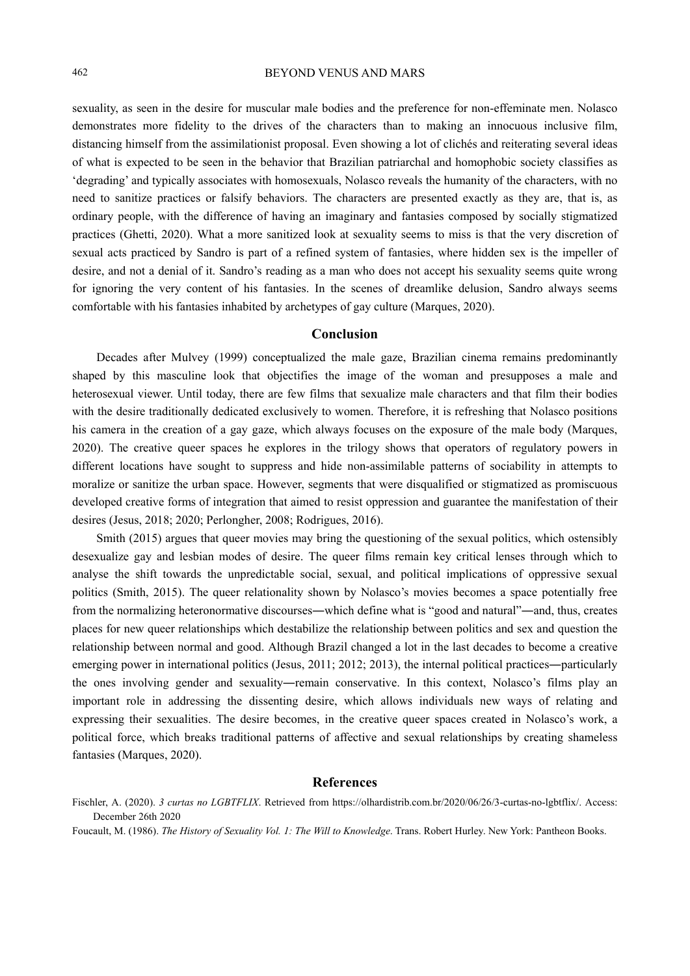# 462 BEYOND VENUS AND MARS

sexuality, as seen in the desire for muscular male bodies and the preference for non-effeminate men. Nolasco demonstrates more fidelity to the drives of the characters than to making an innocuous inclusive film, distancing himself from the assimilationist proposal. Even showing a lot of clichés and reiterating several ideas of what is expected to be seen in the behavior that Brazilian patriarchal and homophobic society classifies as 'degrading' and typically associates with homosexuals, Nolasco reveals the humanity of the characters, with no need to sanitize practices or falsify behaviors. The characters are presented exactly as they are, that is, as ordinary people, with the difference of having an imaginary and fantasies composed by socially stigmatized practices (Ghetti, 2020). What a more sanitized look at sexuality seems to miss is that the very discretion of sexual acts practiced by Sandro is part of a refined system of fantasies, where hidden sex is the impeller of desire, and not a denial of it. Sandro's reading as a man who does not accept his sexuality seems quite wrong for ignoring the very content of his fantasies. In the scenes of dreamlike delusion, Sandro always seems comfortable with his fantasies inhabited by archetypes of gay culture (Marques, 2020).

#### **Conclusion**

Decades after Mulvey (1999) conceptualized the male gaze, Brazilian cinema remains predominantly shaped by this masculine look that objectifies the image of the woman and presupposes a male and heterosexual viewer. Until today, there are few films that sexualize male characters and that film their bodies with the desire traditionally dedicated exclusively to women. Therefore, it is refreshing that Nolasco positions his camera in the creation of a gay gaze, which always focuses on the exposure of the male body (Marques, 2020). The creative queer spaces he explores in the trilogy shows that operators of regulatory powers in different locations have sought to suppress and hide non-assimilable patterns of sociability in attempts to moralize or sanitize the urban space. However, segments that were disqualified or stigmatized as promiscuous developed creative forms of integration that aimed to resist oppression and guarantee the manifestation of their desires (Jesus, 2018; 2020; Perlongher, 2008; Rodrigues, 2016).

Smith (2015) argues that queer movies may bring the questioning of the sexual politics, which ostensibly desexualize gay and lesbian modes of desire. The queer films remain key critical lenses through which to analyse the shift towards the unpredictable social, sexual, and political implications of oppressive sexual politics (Smith, 2015). The queer relationality shown by Nolasco's movies becomes a space potentially free from the normalizing heteronormative discourses—which define what is "good and natural"—and, thus, creates places for new queer relationships which destabilize the relationship between politics and sex and question the relationship between normal and good. Although Brazil changed a lot in the last decades to become a creative emerging power in international politics (Jesus, 2011; 2012; 2013), the internal political practices―particularly the ones involving gender and sexuality―remain conservative. In this context, Nolasco's films play an important role in addressing the dissenting desire, which allows individuals new ways of relating and expressing their sexualities. The desire becomes, in the creative queer spaces created in Nolasco's work, a political force, which breaks traditional patterns of affective and sexual relationships by creating shameless fantasies (Marques, 2020).

# **References**

Foucault, M. (1986). *The History of Sexuality Vol. 1: The Will to Knowledge*. Trans. Robert Hurley. New York: Pantheon Books.

Fischler, A. (2020). *3 curtas no LGBTFLIX*. Retrieved from https://olhardistrib.com.br/2020/06/26/3-curtas-no-lgbtflix/. Access: December 26th 2020